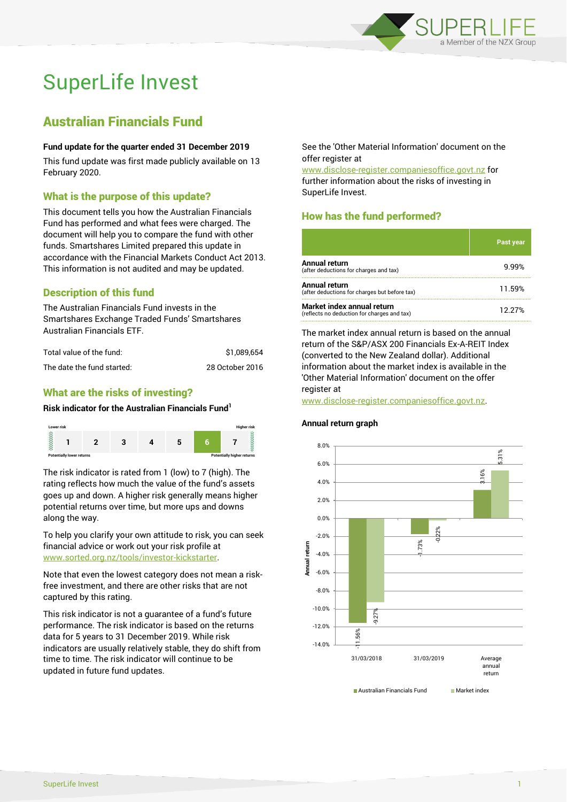

# SuperLife Invest

## Australian Financials Fund

#### **Fund update for the quarter ended 31 December 2019**

This fund update was first made publicly available on 13 February 2020.

### What is the purpose of this update?

This document tells you how the Australian Financials Fund has performed and what fees were charged. The document will help you to compare the fund with other funds. Smartshares Limited prepared this update in accordance with the Financial Markets Conduct Act 2013. This information is not audited and may be updated.

## Description of this fund

The Australian Financials Fund invests in the Smartshares Exchange Traded Funds' Smartshares Australian Financials ETF.

| Total value of the fund:   | \$1.089.654     |
|----------------------------|-----------------|
| The date the fund started: | 28 October 2016 |

## What are the risks of investing?

#### **Risk indicator for the Australian Financials Fund<sup>1</sup>**



The risk indicator is rated from 1 (low) to 7 (high). The rating reflects how much the value of the fund's assets goes up and down. A higher risk generally means higher potential returns over time, but more ups and downs along the way.

To help you clarify your own attitude to risk, you can seek financial advice or work out your risk profile at [www.sorted.org.nz/tools/investor-kickstarter.](http://www.sorted.org.nz/tools/investor-kickstarter)

Note that even the lowest category does not mean a riskfree investment, and there are other risks that are not captured by this rating.

This risk indicator is not a guarantee of a fund's future performance. The risk indicator is based on the returns data for 5 years to 31 December 2019. While risk indicators are usually relatively stable, they do shift from time to time. The risk indicator will continue to be updated in future fund updates.

See the 'Other Material Information' document on the offer register at

www.disclose-register.companiesoffice.govt.nz for further information about the risks of investing in SuperLife Invest.

## How has the fund performed?

|                                                                           | <b>Past year</b> |
|---------------------------------------------------------------------------|------------------|
| Annual return<br>(after deductions for charges and tax)                   | 9.99%            |
| Annual return<br>(after deductions for charges but before tax)            | 11.59%           |
| Market index annual return<br>(reflects no deduction for charges and tax) | 12.27%           |

The market index annual return is based on the annual return of the S&P/ASX 200 Financials Ex-A-REIT Index (converted to the New Zealand dollar). Additional information about the market index is available in the 'Other Material Information' document on the offer register at

www.disclose-register.companiesoffice.govt.nz.



#### **Annual return graph**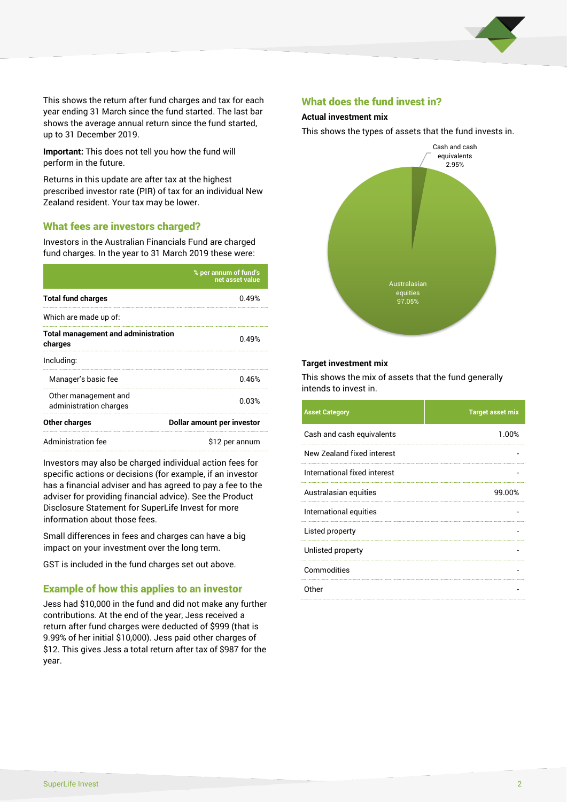

This shows the return after fund charges and tax for each year ending 31 March since the fund started. The last bar shows the average annual return since the fund started, up to 31 December 2019.

**Important:** This does not tell you how the fund will perform in the future.

Returns in this update are after tax at the highest prescribed investor rate (PIR) of tax for an individual New Zealand resident. Your tax may be lower.

#### What fees are investors charged?

Investors in the Australian Financials Fund are charged fund charges. In the year to 31 March 2019 these were:

|                                                       | % per annum of fund's<br>net asset value |  |
|-------------------------------------------------------|------------------------------------------|--|
| <b>Total fund charges</b>                             | 0.49%                                    |  |
| Which are made up of:                                 |                                          |  |
| <b>Total management and administration</b><br>charges | 0.49%                                    |  |
| Including:                                            |                                          |  |
| Manager's basic fee                                   | 0.46%                                    |  |
| Other management and<br>administration charges        | 0.03%                                    |  |
| Other charges                                         | Dollar amount per investor               |  |
| Administration fee                                    | \$12 per annum                           |  |

Investors may also be charged individual action fees for specific actions or decisions (for example, if an investor has a financial adviser and has agreed to pay a fee to the adviser for providing financial advice). See the Product Disclosure Statement for SuperLife Invest for more information about those fees.

Small differences in fees and charges can have a big impact on your investment over the long term.

GST is included in the fund charges set out above.

#### Example of how this applies to an investor

Jess had \$10,000 in the fund and did not make any further contributions. At the end of the year, Jess received a return after fund charges were deducted of \$999 (that is 9.99% of her initial \$10,000). Jess paid other charges of \$12. This gives Jess a total return after tax of \$987 for the year.

#### What does the fund invest in?

#### **Actual investment mix**

This shows the types of assets that the fund invests in.



#### **Target investment mix**

This shows the mix of assets that the fund generally intends to invest in.

| <b>Asset Category</b>        | <b>Target asset mix</b> |
|------------------------------|-------------------------|
| Cash and cash equivalents    | 1.00%                   |
| New Zealand fixed interest   |                         |
| International fixed interest |                         |
| Australasian equities        | 99.00%                  |
| International equities       |                         |
| Listed property              |                         |
| Unlisted property            |                         |
| Commodities                  |                         |
| Other                        |                         |